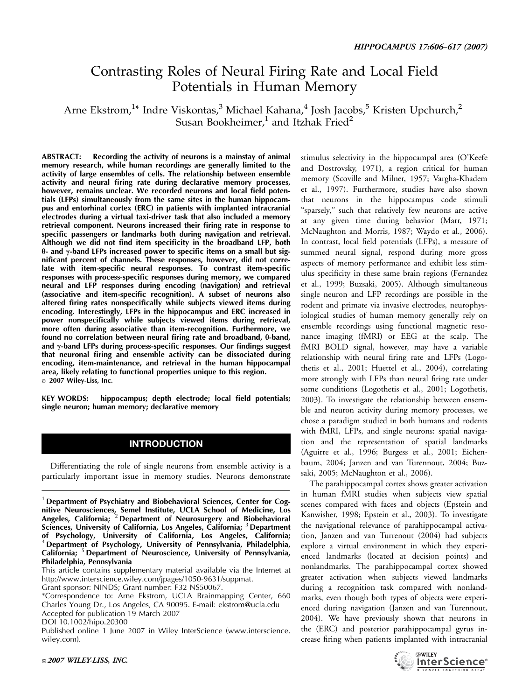# Contrasting Roles of Neural Firing Rate and Local Field Potentials in Human Memory

Arne Ekstrom,<sup>1\*</sup> Indre Viskontas,<sup>3</sup> Michael Kahana,<sup>4</sup> Josh Jacobs,<sup>5</sup> Kristen Upchurch,<sup>2</sup> Susan Bookheimer, $1$  and Itzhak Fried<sup>2</sup>

ABSTRACT: Recording the activity of neurons is a mainstay of animal memory research, while human recordings are generally limited to the activity of large ensembles of cells. The relationship between ensemble activity and neural firing rate during declarative memory processes, however, remains unclear. We recorded neurons and local field potentials (LFPs) simultaneously from the same sites in the human hippocampus and entorhinal cortex (ERC) in patients with implanted intracranial electrodes during a virtual taxi-driver task that also included a memory retrieval component. Neurons increased their firing rate in response to specific passengers or landmarks both during navigation and retrieval. Although we did not find item specificity in the broadband LFP, both  $\theta$ - and  $\gamma$ -band LFPs increased power to specific items on a small but significant percent of channels. These responses, however, did not correlate with item-specific neural responses. To contrast item-specific responses with process-specific responses during memory, we compared neural and LFP responses during encoding (navigation) and retrieval (associative and item-specific recognition). A subset of neurons also altered firing rates nonspecifically while subjects viewed items during encoding. Interestingly, LFPs in the hippocampus and ERC increased in power nonspecifically while subjects viewed items during retrieval, more often during associative than item-recognition. Furthermore, we found no correlation between neural firing rate and broadband,  $\theta$ -band, and  $\gamma$ -band LFPs during process-specific responses. Our findings suggest that neuronal firing and ensemble activity can be dissociated during encoding, item-maintenance, and retrieval in the human hippocampal area, likely relating to functional properties unique to this region.  $\circ$  2007 Wiley-Liss, Inc.

KEY WORDS: hippocampus; depth electrode; local field potentials; single neuron; human memory; declarative memory

# INTRODUCTION

Differentiating the role of single neurons from ensemble activity is a particularly important issue in memory studies. Neurons demonstrate

This article contains supplementary material available via the Internet at http://www.interscience.wiley.com/jpages/1050-9631/suppmat. Grant sponsor: NINDS; Grant number: F32 NS50067.

\*Correspondence to: Arne Ekstrom, UCLA Brainmapping Center, 660 Charles Young Dr., Los Angeles, CA 90095. E-mail: ekstrom@ucla.edu Accepted for publication 19 March 2007

DOI 10.1002/hipo.20300

Published online 1 June 2007 in Wiley InterScience (www.interscience. wiley.com).

stimulus selectivity in the hippocampal area (O'Keefe and Dostrovsky, 1971), a region critical for human memory (Scoville and Milner, 1957; Vargha-Khadem et al., 1997). Furthermore, studies have also shown that neurons in the hippocampus code stimuli "sparsely," such that relatively few neurons are active at any given time during behavior (Marr, 1971; McNaughton and Morris, 1987; Waydo et al., 2006). In contrast, local field potentials (LFPs), a measure of summed neural signal, respond during more gross aspects of memory performance and exhibit less stimulus specificity in these same brain regions (Fernandez et al., 1999; Buzsaki, 2005). Although simultaneous single neuron and LFP recordings are possible in the rodent and primate via invasive electrodes, neurophysiological studies of human memory generally rely on ensemble recordings using functional magnetic resonance imaging (fMRI) or EEG at the scalp. The fMRI BOLD signal, however, may have a variable relationship with neural firing rate and LFPs (Logothetis et al., 2001; Huettel et al., 2004), correlating more strongly with LFPs than neural firing rate under some conditions (Logothetis et al., 2001; Logothetis, 2003). To investigate the relationship between ensemble and neuron activity during memory processes, we chose a paradigm studied in both humans and rodents with fMRI, LFPs, and single neurons: spatial navigation and the representation of spatial landmarks (Aguirre et al., 1996; Burgess et al., 2001; Eichenbaum, 2004; Janzen and van Turennout, 2004; Buzsaki, 2005; McNaughton et al., 2006).

The parahippocampal cortex shows greater activation in human fMRI studies when subjects view spatial scenes compared with faces and objects (Epstein and Kanwisher, 1998; Epstein et al., 2003). To investigate the navigational relevance of parahippocampal activation, Janzen and van Turrenout (2004) had subjects explore a virtual environment in which they experienced landmarks (located at decision points) and nonlandmarks. The parahippocampal cortex showed greater activation when subjects viewed landmarks during a recognition task compared with nonlandmarks, even though both types of objects were experienced during navigation (Janzen and van Turennout, 2004). We have previously shown that neurons in the (ERC) and posterior parahippocampal gyrus increase firing when patients implanted with intracranial



<sup>&</sup>lt;sup>1</sup> Department of Psychiatry and Biobehavioral Sciences, Center for Cognitive Neurosciences, Semel Institute, UCLA School of Medicine, Los<br>Angeles, California; <sup>2</sup>Department of Neurosurgery and Biobehavioral Sciences, University of California, Los Angeles, California; <sup>3</sup> Department of Psychology, University of California, Los Angeles, California; <sup>4</sup> Department of Psychology, University of Pennsylvania, Philadelphia, California; <sup>5</sup> Department of Neuroscience, University of Pennsylvania, Philadelphia, Pennsylvania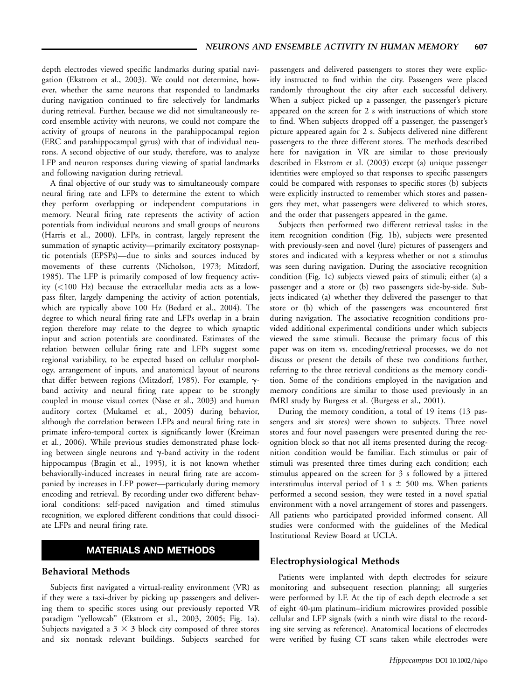depth electrodes viewed specific landmarks during spatial navigation (Ekstrom et al., 2003). We could not determine, however, whether the same neurons that responded to landmarks during navigation continued to fire selectively for landmarks during retrieval. Further, because we did not simultaneously record ensemble activity with neurons, we could not compare the activity of groups of neurons in the parahippocampal region (ERC and parahippocampal gyrus) with that of individual neurons. A second objective of our study, therefore, was to analyze LFP and neuron responses during viewing of spatial landmarks and following navigation during retrieval.

A final objective of our study was to simultaneously compare neural firing rate and LFPs to determine the extent to which they perform overlapping or independent computations in memory. Neural firing rate represents the activity of action potentials from individual neurons and small groups of neurons (Harris et al., 2000). LFPs, in contrast, largely represent the summation of synaptic activity—primarily excitatory postsynaptic potentials (EPSPs)—due to sinks and sources induced by movements of these currents (Nicholson, 1973; Mitzdorf, 1985). The LFP is primarily composed of low frequency activity (<100 Hz) because the extracellular media acts as a lowpass filter, largely dampening the activity of action potentials, which are typically above 100 Hz (Bedard et al., 2004). The degree to which neural firing rate and LFPs overlap in a brain region therefore may relate to the degree to which synaptic input and action potentials are coordinated. Estimates of the relation between cellular firing rate and LFPs suggest some regional variability, to be expected based on cellular morphology, arrangement of inputs, and anatomical layout of neurons that differ between regions (Mitzdorf, 1985). For example,  $\gamma$ band activity and neural firing rate appear to be strongly coupled in mouse visual cortex (Nase et al., 2003) and human auditory cortex (Mukamel et al., 2005) during behavior, although the correlation between LFPs and neural firing rate in primate infero-temporal cortex is significantly lower (Kreiman et al., 2006). While previous studies demonstrated phase locking between single neurons and  $\gamma$ -band activity in the rodent hippocampus (Bragin et al., 1995), it is not known whether behaviorally-induced increases in neural firing rate are accompanied by increases in LFP power—particularly during memory encoding and retrieval. By recording under two different behavioral conditions: self-paced navigation and timed stimulus recognition, we explored different conditions that could dissociate LFPs and neural firing rate.

## MATERIALS AND METHODS

## Behavioral Methods

Subjects first navigated a virtual-reality environment (VR) as if they were a taxi-driver by picking up passengers and delivering them to specific stores using our previously reported VR paradigm "yellowcab" (Ekstrom et al., 2003, 2005; Fig. 1a). Subjects navigated a  $3 \times 3$  block city composed of three stores and six nontask relevant buildings. Subjects searched for passengers and delivered passengers to stores they were explicitly instructed to find within the city. Passengers were placed randomly throughout the city after each successful delivery. When a subject picked up a passenger, the passenger's picture appeared on the screen for 2 s with instructions of which store to find. When subjects dropped off a passenger, the passenger's picture appeared again for 2 s. Subjects delivered nine different passengers to the three different stores. The methods described here for navigation in VR are similar to those previously described in Ekstrom et al. (2003) except (a) unique passenger identities were employed so that responses to specific passengers could be compared with responses to specific stores (b) subjects were explicitly instructed to remember which stores and passengers they met, what passengers were delivered to which stores, and the order that passengers appeared in the game.

Subjects then performed two different retrieval tasks: in the item recognition condition (Fig. 1b), subjects were presented with previously-seen and novel (lure) pictures of passengers and stores and indicated with a keypress whether or not a stimulus was seen during navigation. During the associative recognition condition (Fig. 1c) subjects viewed pairs of stimuli; either (a) a passenger and a store or (b) two passengers side-by-side. Subjects indicated (a) whether they delivered the passenger to that store or (b) which of the passengers was encountered first during navigation. The associative recognition conditions provided additional experimental conditions under which subjects viewed the same stimuli. Because the primary focus of this paper was on item vs. encoding/retrieval processes, we do not discuss or present the details of these two conditions further, referring to the three retrieval conditions as the memory condition. Some of the conditions employed in the navigation and memory conditions are similar to those used previously in an fMRI study by Burgess et al. (Burgess et al., 2001).

During the memory condition, a total of 19 items (13 passengers and six stores) were shown to subjects. Three novel stores and four novel passengers were presented during the recognition block so that not all items presented during the recognition condition would be familiar. Each stimulus or pair of stimuli was presented three times during each condition; each stimulus appeared on the screen for 3 s followed by a jittered interstimulus interval period of 1 s  $\pm$  500 ms. When patients performed a second session, they were tested in a novel spatial environment with a novel arrangement of stores and passengers. All patients who participated provided informed consent. All studies were conformed with the guidelines of the Medical Institutional Review Board at UCLA.

#### Electrophysiological Methods

Patients were implanted with depth electrodes for seizure monitoring and subsequent resection planning; all surgeries were performed by I.F. At the tip of each depth electrode a set of eight 40-um platinum–iridium microwires provided possible cellular and LFP signals (with a ninth wire distal to the recording site serving as reference). Anatomical locations of electrodes were verified by fusing CT scans taken while electrodes were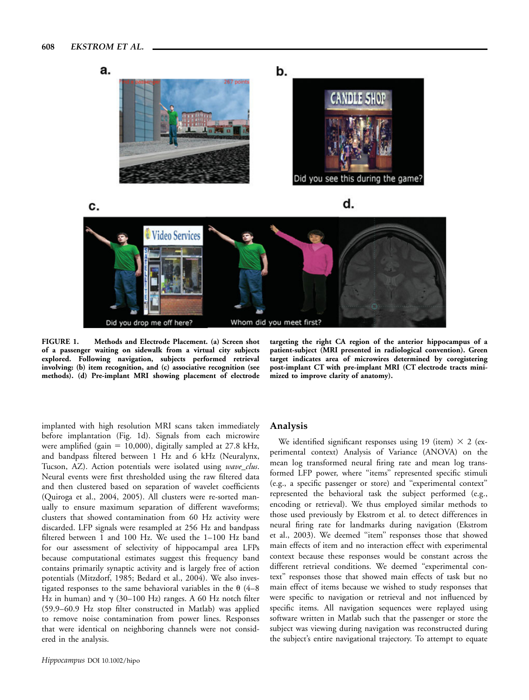

FIGURE 1. Methods and Electrode Placement. (a) Screen shot of a passenger waiting on sidewalk from a virtual city subjects explored. Following navigation, subjects performed retrieval involving: (b) item recognition, and (c) associative recognition (see methods). (d) Pre-implant MRI showing placement of electrode

targeting the right CA region of the anterior hippocampus of a patient-subject (MRI presented in radiological convention). Green target indicates area of microwires determined by coregistering post-implant CT with pre-implant MRI (CT electrode tracts minimized to improve clarity of anatomy).

implanted with high resolution MRI scans taken immediately before implantation (Fig. 1d). Signals from each microwire were amplified (gain = 10,000), digitally sampled at 27.8 kHz, and bandpass filtered between 1 Hz and 6 kHz (Neuralynx, Tucson, AZ). Action potentials were isolated using wave\_clus. Neural events were first thresholded using the raw filtered data and then clustered based on separation of wavelet coefficients (Quiroga et al., 2004, 2005). All clusters were re-sorted manually to ensure maximum separation of different waveforms; clusters that showed contamination from 60 Hz activity were discarded. LFP signals were resampled at 256 Hz and bandpass filtered between 1 and 100 Hz. We used the 1–100 Hz band for our assessment of selectivity of hippocampal area LFPs because computational estimates suggest this frequency band contains primarily synaptic activity and is largely free of action potentials (Mitzdorf, 1985; Bedard et al., 2004). We also investigated responses to the same behavioral variables in the  $\theta$  (4–8 Hz in human) and  $\gamma$  (30–100 Hz) ranges. A 60 Hz notch filter (59.9–60.9 Hz stop filter constructed in Matlab) was applied to remove noise contamination from power lines. Responses that were identical on neighboring channels were not considered in the analysis.

### Analysis

We identified significant responses using 19 (item)  $\times$  2 (experimental context) Analysis of Variance (ANOVA) on the mean log transformed neural firing rate and mean log transformed LFP power, where ''items'' represented specific stimuli (e.g., a specific passenger or store) and ''experimental context'' represented the behavioral task the subject performed (e.g., encoding or retrieval). We thus employed similar methods to those used previously by Ekstrom et al. to detect differences in neural firing rate for landmarks during navigation (Ekstrom et al., 2003). We deemed ''item'' responses those that showed main effects of item and no interaction effect with experimental context because these responses would be constant across the different retrieval conditions. We deemed "experimental context'' responses those that showed main effects of task but no main effect of items because we wished to study responses that were specific to navigation or retrieval and not influenced by specific items. All navigation sequences were replayed using software written in Matlab such that the passenger or store the subject was viewing during navigation was reconstructed during the subject's entire navigational trajectory. To attempt to equate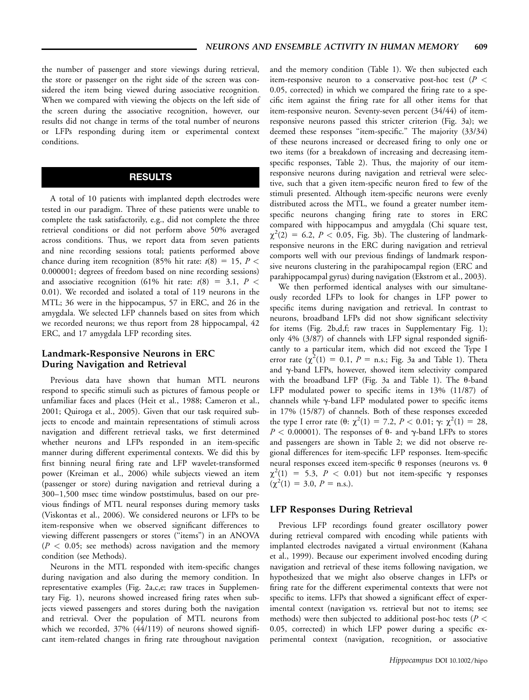the number of passenger and store viewings during retrieval, the store or passenger on the right side of the screen was considered the item being viewed during associative recognition. When we compared with viewing the objects on the left side of the screen during the associative recognition, however, our results did not change in terms of the total number of neurons or LFPs responding during item or experimental context conditions.

# RESULTS

A total of 10 patients with implanted depth electrodes were tested in our paradigm. Three of these patients were unable to complete the task satisfactorily, e.g., did not complete the three retrieval conditions or did not perform above 50% averaged across conditions. Thus, we report data from seven patients and nine recording sessions total; patients performed above chance during item recognition (85% hit rate:  $t(8) = 15$ ,  $P <$ 0.000001; degrees of freedom based on nine recording sessions) and associative recognition (61% hit rate:  $t(8) = 3.1, P <$ 0.01). We recorded and isolated a total of 119 neurons in the MTL; 36 were in the hippocampus, 57 in ERC, and 26 in the amygdala. We selected LFP channels based on sites from which we recorded neurons; we thus report from 28 hippocampal, 42 ERC, and 17 amygdala LFP recording sites.

## Landmark-Responsive Neurons in ERC During Navigation and Retrieval

Previous data have shown that human MTL neurons respond to specific stimuli such as pictures of famous people or unfamiliar faces and places (Heit et al., 1988; Cameron et al., 2001; Quiroga et al., 2005). Given that our task required subjects to encode and maintain representations of stimuli across navigation and different retrieval tasks, we first determined whether neurons and LFPs responded in an item-specific manner during different experimental contexts. We did this by first binning neural firing rate and LFP wavelet-transformed power (Kreiman et al., 2006) while subjects viewed an item (passenger or store) during navigation and retrieval during a 300–1,500 msec time window poststimulus, based on our previous findings of MTL neural responses during memory tasks (Viskontas et al., 2006). We considered neurons or LFPs to be item-responsive when we observed significant differences to viewing different passengers or stores (''items'') in an ANOVA  $(P < 0.05;$  see methods) across navigation and the memory condition (see Methods).

Neurons in the MTL responded with item-specific changes during navigation and also during the memory condition. In representative examples (Fig. 2a,c,e; raw traces in Supplementary Fig. 1), neurons showed increased firing rates when subjects viewed passengers and stores during both the navigation and retrieval. Over the population of MTL neurons from which we recorded, 37% (44/119) of neurons showed significant item-related changes in firing rate throughout navigation and the memory condition (Table 1). We then subjected each item-responsive neuron to a conservative post-hoc test ( $P$  < 0.05, corrected) in which we compared the firing rate to a specific item against the firing rate for all other items for that item-responsive neuron. Seventy-seven percent (34/44) of itemresponsive neurons passed this stricter criterion (Fig. 3a); we deemed these responses ''item-specific.'' The majority (33/34) of these neurons increased or decreased firing to only one or two items (for a breakdown of increasing and decreasing itemspecific responses, Table 2). Thus, the majority of our itemresponsive neurons during navigation and retrieval were selective, such that a given item-specific neuron fired to few of the stimuli presented. Although item-specific neurons were evenly distributed across the MTL, we found a greater number itemspecific neurons changing firing rate to stores in ERC compared with hippocampus and amygdala (Chi square test,  $\chi^2(2) = 6.2, P < 0.05$ , Fig. 3b). The clustering of landmark-<br>responsive neurons in the ERC during navigation and retrieval responsive neurons in the ERC during navigation and retrieval comports well with our previous findings of landmark responsive neurons clustering in the parahipocampal region (ERC and parahippocampal gyrus) during navigation (Ekstrom et al., 2003).

We then performed identical analyses with our simultaneously recorded LFPs to look for changes in LFP power to specific items during navigation and retrieval. In contrast to neurons, broadband LFPs did not show significant selectivity for items (Fig. 2b,d,f; raw traces in Supplementary Fig. 1); only 4% (3/87) of channels with LFP signal responded significantly to a particular item, which did not exceed the Type I error rate  $(\chi^2(1) = 0.1, P = \text{n.s.}; \text{ Fig. 3a and Table 1}.$  Theta<br>and N-band LEPs, however, showed item selectivity compared and  $\gamma$ -band LFPs, however, showed item selectivity compared with the broadband LFP (Fig. 3a and Table 1). The  $\theta$ -band LFP modulated power to specific items in 13% (11/87) of channels while  $\gamma$ -band LFP modulated power to specific items in 17% (15/87) of channels. Both of these responses exceeded the type I error rate  $(\theta: \chi^2(1) = 7.2, P < 0.01, \gamma: \chi^2(1) = 28,$ <br>  $P < 0.00001$ ). The responses of  $\theta_1$  and whand I EPs to stores  $P < 0.00001$ ). The responses of  $\theta$ - and  $\gamma$ -band LFPs to stores and passengers are shown in Table 2; we did not observe regional differences for item-specific LFP responses. Item-specific neural responses exceed item-specific  $\theta$  responses (neurons vs.  $\theta$  $\chi^2(1) = 5.3, P < 0.01$  but not item-specific  $\gamma$  responses  $(\chi^2(1)) = 3.0, P = \eta s$  $(\chi^2(1) = 3.0, P = \text{n.s.}).$ 

## LFP Responses During Retrieval

Previous LFP recordings found greater oscillatory power during retrieval compared with encoding while patients with implanted electrodes navigated a virtual environment (Kahana et al., 1999). Because our experiment involved encoding during navigation and retrieval of these items following navigation, we hypothesized that we might also observe changes in LFPs or firing rate for the different experimental contexts that were not specific to items. LFPs that showed a significant effect of experimental context (navigation vs. retrieval but not to items; see methods) were then subjected to additional post-hoc tests ( $P$  < 0.05, corrected) in which LFP power during a specific experimental context (navigation, recognition, or associative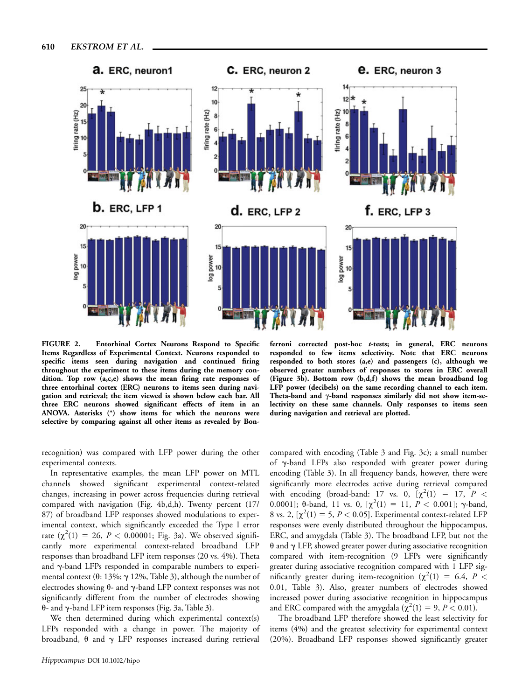

FIGURE 2. Entorhinal Cortex Neurons Respond to Specific Items Regardless of Experimental Context. Neurons responded to specific items seen during navigation and continued firing throughout the experiment to these items during the memory condition. Top row (a,c,e) shows the mean firing rate responses of three entorhinal cortex (ERC) neurons to items seen during navigation and retrieval; the item viewed is shown below each bar. All three ERC neurons showed significant effects of item in an ANOVA. Asterisks (\*) show items for which the neurons were selective by comparing against all other items as revealed by Bon-

recognition) was compared with LFP power during the other experimental contexts.

In representative examples, the mean LFP power on MTL channels showed significant experimental context-related changes, increasing in power across frequencies during retrieval compared with navigation (Fig. 4b,d,h). Twenty percent (17/ 87) of broadband LFP responses showed modulations to experimental context, which significantly exceeded the Type I error rate  $(\chi^2(1) = 26, P < 0.00001;$  Fig. 3a). We observed signifi-<br>can by more experimental, context-related, broadband, LEP cantly more experimental context-related broadband LFP responses than broadband LFP item responses (20 vs. 4%). Theta and  $\gamma$ -band LFPs responded in comparable numbers to experimental context ( $\theta$ : 13%;  $\gamma$  12%, Table 3), although the number of electrodes showing  $\theta$ - and  $\gamma$ -band LFP context responses was not significantly different from the number of electrodes showing  $\theta$ - and  $\gamma$ -band LFP item responses (Fig. 3a, Table 3).

We then determined during which experimental context(s) LFPs responded with a change in power. The majority of broadband,  $\theta$  and  $\gamma$  LFP responses increased during retrieval

ferroni corrected post-hoc t-tests; in general, ERC neurons responded to few items selectivity. Note that ERC neurons responded to both stores (a,e) and passengers (c), although we observed greater numbers of responses to stores in ERC overall (Figure 3b). Bottom row  $(b,d,f)$  shows the mean broadband  $log$ LFP power (decibels) on the same recording channel to each item. Theta-band and  $\gamma$ -band responses similarly did not show item-selectivity on these same channels. Only responses to items seen during navigation and retrieval are plotted.

compared with encoding (Table 3 and Fig. 3c); a small number of g-band LFPs also responded with greater power during encoding (Table 3). In all frequency bands, however, there were significantly more electrodes active during retrieval compared with encoding (broad-band: 17 vs. 0,  $[\chi^2(1) = 17, P < 0.0001]$ ): 0.0001]: 9. band 0.0001];  $\theta$ -band, 11 vs. 0,  $[\chi^2(1) = 11, P < 0.001]$ ;  $\gamma$ -band,  $8 \text{ yr}$ ,  $2 \left[\chi^2(1) = 5, P < 0.05\right]$ . Experimental context-related LEP 8 vs. 2,  $[\chi^2(1) = 5, P < 0.05]$ . Experimental context-related LFP<br>responses were evenly distributed throughout the hippocampus responses were evenly distributed throughout the hippocampus, ERC, and amygdala (Table 3). The broadband LFP, but not the  $\theta$  and  $\gamma$  LFP, showed greater power during associative recognition compared with item-recognition (9 LFPs were significantly greater during associative recognition compared with 1 LFP significantly greater during item-recognition  $(\chi^2(1) = 6.4, P < 0.01$  Table 3). Also greater numbers of electrodes showed 0.01, Table 3). Also, greater numbers of electrodes showed increased power during associative recognition in hippocampus and ERC compared with the amygdala  $(\chi^2(1) = 9, P < 0.01)$ .<br>The broadband LEP therefore showed the least selectivity.

The broadband LFP therefore showed the least selectivity for items (4%) and the greatest selectivity for experimental context (20%). Broadband LFP responses showed significantly greater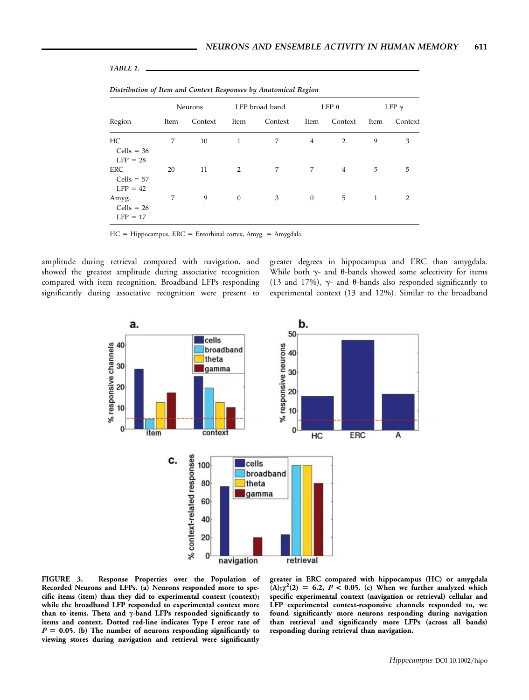TABLE 1.

|                                     | Neurons |         |              | LFP broad band |                | $LFP \theta$   | LFP $\gamma$ |         |
|-------------------------------------|---------|---------|--------------|----------------|----------------|----------------|--------------|---------|
| Region                              | Item    | Context | Item         | Context        | Item           | Context        | Item         | Context |
| HС<br>$Cells = 36$<br>$LFP = 28$    | 7       | 10      | $\mathbf{1}$ | 7              | $\overline{4}$ | 2              | 9            | 3       |
| ERC<br>$Cells = 57$<br>$LFP = 42$   | 20      | 11      | 2            | 7              | 7              | $\overline{4}$ | 5            | 5       |
| Amyg.<br>$Cells = 26$<br>$LFP = 17$ | 7       | 9       | $\theta$     | 3              | $\mathbf{0}$   | 5              | 1            | 2       |

Distribution of Item and Context Responses by Anatomical Region

HC = Hippocampus, ERC = Entorhinal cortex, Amyg. = Amygdala.

amplitude during retrieval compared with navigation, and showed the greatest amplitude during associative recognition compared with item recognition. Broadband LFPs responding significantly during associative recognition were present to

greater degrees in hippocampus and ERC than amygdala. While both  $\gamma$ - and  $\theta$ -bands showed some selectivity for items (13 and 17%),  $\gamma$ - and  $\theta$ -bands also responded significantly to experimental context (13 and 12%). Similar to the broadband



FIGURE 3. Response Properties over the Population of Recorded Neurons and LFPs. (a) Neurons responded more to specific items (item) than they did to experimental context (context); while the broadband LFP responded to experimental context more than to items. Theta and  $\gamma$ -band LFPs responded significantly to items and context. Dotted red-line indicates Type I error rate of  $P = 0.05$ . (b) The number of neurons responding significantly to viewing stores during navigation and retrieval were significantly

greater in ERC compared with hippocampus (HC) or amygdala  $(A); \chi^2(2) = 6.2, P < 0.05.$  (c) When we further analyzed which specific experimental context (navigation or retrieval) cellular and LFP experimental context-responsive channels responded to, we found significantly more neurons responding during navigation than retrieval and significantly more LFPs (across all bands) responding during retrieval than navigation.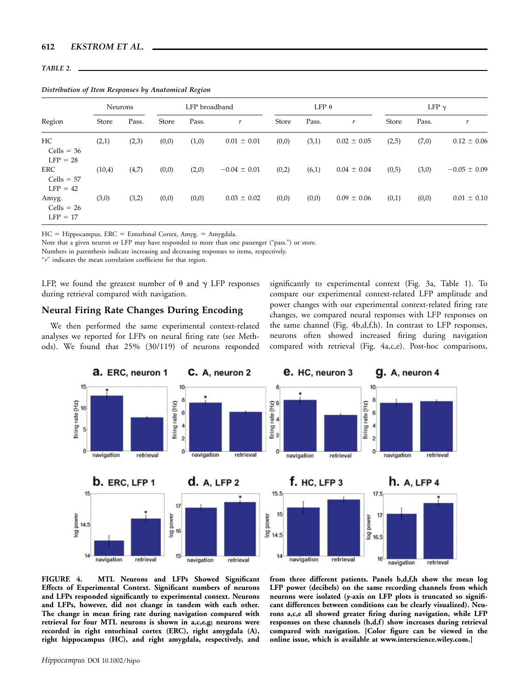TABLE 2.

| Region                              | <b>Neurons</b> |       | LFP broadband |       |                  | LFP $\theta$ |       |                 | LFP $\gamma$ |       |                  |
|-------------------------------------|----------------|-------|---------------|-------|------------------|--------------|-------|-----------------|--------------|-------|------------------|
|                                     | Store          | Pass. | Store         | Pass. | r                | Store        | Pass. | r               | Store        | Pass. | r                |
| HC<br>$Cells = 36$<br>$LFP = 28$    | (2,1)          | (2,3) | (0,0)         | (1,0) | $0.01 \pm 0.01$  | (0,0)        | (3,1) | $0.02 \pm 0.05$ | (2,5)        | (7,0) | $0.12 \pm 0.06$  |
| ERC<br>$Cells = 57$<br>$LFP = 42$   | (10,4)         | (4,7) | (0,0)         | (2,0) | $-0.04 \pm 0.01$ | (0,2)        | (6,1) | $0.04 \pm 0.04$ | (0,5)        | (3,0) | $-0.05 \pm 0.09$ |
| Amyg.<br>$Cells = 26$<br>$LFP = 17$ | (3,0)          | (3,2) | (0,0)         | (0,0) | $0.03 \pm 0.02$  | (0,0)        | (0,0) | $0.09 \pm 0.06$ | (0,1)        | (0,0) | $0.01 \pm 0.10$  |

Distribution of Item Responses by Anatomical Region

 $HC = Hippocampus, ERC = Entorhinal Cortex, Amyg. = Amygdala.$ 

Note that a given neuron or LFP may have responded to more than one passenger (''pass.'') or store.

Numbers in parenthesis indicate increasing and decreasing responses to items, respectively.

"r" indicates the mean correlation coefficient for that region.

LFP, we found the greatest number of  $\theta$  and  $\gamma$  LFP responses during retrieval compared with navigation.

#### Neural Firing Rate Changes During Encoding

We then performed the same experimental context-related analyses we reported for LFPs on neural firing rate (see Methods). We found that 25% (30/119) of neurons responded significantly to experimental context (Fig. 3a, Table 1). To compare our experimental context-related LFP amplitude and power changes with our experimental context-related firing rate changes, we compared neural responses with LFP responses on the same channel (Fig. 4b,d,f,h). In contrast to LFP responses, neurons often showed increased firing during navigation compared with retrieval (Fig. 4a,c,e). Post-hoc comparisons,



FIGURE 4. MTL Neurons and LFPs Showed Significant Effects of Experimental Context. Significant numbers of neurons and LFPs responded significantly to experimental context. Neurons and LFPs, however, did not change in tandem with each other. The change in mean firing rate during navigation compared with retrieval for four MTL neurons is shown in a,c,e,g; neurons were recorded in right entorhinal cortex (ERC), right amygdala (A), right hippocampus (HC), and right amygdala, respectively, and

from three different patients. Panels b,d,f,h show the mean log LFP power (decibels) on the same recording channels from which neurons were isolated (y-axis on LFP plots is truncated so significant differences between conditions can be clearly visualized). Neurons a,c,e all showed greater firing during navigation, while LFP responses on these channels  $(b,d,f)$  show increases during retrieval compared with navigation. [Color figure can be viewed in the online issue, which is available at www.interscience.wiley.com.]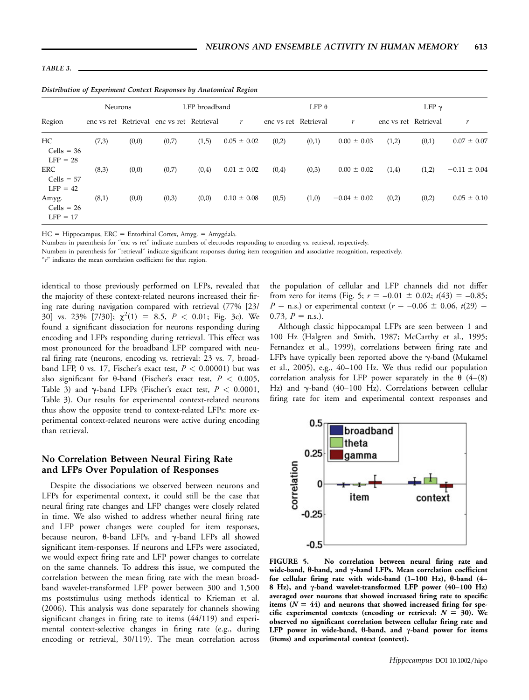#### TABLE 3.

| Region                              | <b>Neurons</b> |       | LFP broadband                             |       |                 | $LFP \theta$         |       |                  | LFP $\gamma$         |       |                  |
|-------------------------------------|----------------|-------|-------------------------------------------|-------|-----------------|----------------------|-------|------------------|----------------------|-------|------------------|
|                                     |                |       | enc vs ret Retrieval enc vs ret Retrieval |       | $\mathcal{r}$   | enc vs ret Retrieval |       | r                | enc vs ret Retrieval |       | r                |
| HC.<br>$Cells = 36$<br>$LFP = 28$   | (7,3)          | (0,0) | (0,7)                                     | (1,5) | $0.05 \pm 0.02$ | (0,2)                | (0,1) | $0.00 \pm 0.03$  | (1,2)                | (0,1) | $0.07 \pm 0.07$  |
| ERC<br>$Cells = 57$<br>$LFP = 42$   | (8,3)          | (0,0) | (0,7)                                     | (0,4) | $0.01 \pm 0.02$ | (0,4)                | (0,3) | $0.00 \pm 0.02$  | (1,4)                | (1,2) | $-0.11 \pm 0.04$ |
| Amyg.<br>$Cells = 26$<br>$LFP = 17$ | (8,1)          | (0,0) | (0,3)                                     | (0,0) | $0.10 \pm 0.08$ | (0,5)                | (1,0) | $-0.04 \pm 0.02$ | (0,2)                | (0,2) | $0.05 \pm 0.10$  |

Distribution of Experiment Context Responses by Anatomical Region

 $HC = Hippocampus, ERC = Entorhinal Cortex, Amyg. = Amygdala.$ 

Numbers in parenthesis for ''enc vs ret'' indicate numbers of electrodes responding to encoding vs. retrieval, respectively.

Numbers in parenthesis for ''retrieval'' indicate significant responses during item recognition and associative recognition, respectively.

"r" indicates the mean correlation coefficient for that region.

identical to those previously performed on LFPs, revealed that the majority of these context-related neurons increased their firing rate during navigation compared with retrieval (77% [23/ 30] vs. 23% [7/30];  $\chi^2(1) = 8.5$ ,  $P < 0.01$ ; Fig. 3c). We found a significant dissociation for neurons responding during encoding and LFPs responding during retrieval. This effect was most pronounced for the broadband LFP compared with neural firing rate (neurons, encoding vs. retrieval: 23 vs. 7, broadband LFP, 0 vs. 17, Fischer's exact test,  $P < 0.00001$ ) but was also significant for  $\theta$ -band (Fischer's exact test,  $P < 0.005$ , Table 3) and  $\gamma$ -band LFPs (Fischer's exact test,  $P < 0.0001$ , Table 3). Our results for experimental context-related neurons thus show the opposite trend to context-related LFPs: more experimental context-related neurons were active during encoding than retrieval.

#### No Correlation Between Neural Firing Rate and LFPs Over Population of Responses

Despite the dissociations we observed between neurons and LFPs for experimental context, it could still be the case that neural firing rate changes and LFP changes were closely related in time. We also wished to address whether neural firing rate and LFP power changes were coupled for item responses, because neuron,  $\theta$ -band LFPs, and  $\gamma$ -band LFPs all showed significant item-responses. If neurons and LFPs were associated, we would expect firing rate and LFP power changes to correlate on the same channels. To address this issue, we computed the correlation between the mean firing rate with the mean broadband wavelet-transformed LFP power between 300 and 1,500 ms poststimulus using methods identical to Krieman et al. (2006). This analysis was done separately for channels showing significant changes in firing rate to items (44/119) and experimental context-selective changes in firing rate (e.g., during encoding or retrieval, 30/119). The mean correlation across

the population of cellular and LFP channels did not differ from zero for items (Fig. 5;  $r = -0.01 \pm 0.02$ ;  $t(43) = -0.85$ ;  $P =$  n.s.) or experimental context ( $r = -0.06 \pm 0.06$ ,  $t(29) =$ 0.73,  $P =$  n.s.).

Although classic hippocampal LFPs are seen between 1 and 100 Hz (Halgren and Smith, 1987; McCarthy et al., 1995; Fernandez et al., 1999), correlations between firing rate and LFPs have typically been reported above the  $\gamma$ -band (Mukamel et al., 2005), e.g., 40–100 Hz. We thus redid our population correlation analysis for LFP power separately in the  $\theta$  (4–(8) Hz) and  $\gamma$ -band (40–100 Hz). Correlations between cellular firing rate for item and experimental context responses and



FIGURE 5. No correlation between neural firing rate and wide-band,  $\theta$ -band, and  $\gamma$ -band LFPs. Mean correlation coefficient for cellular firing rate with wide-band  $(1-100 \text{ Hz})$ ,  $\theta$ -band  $(4-$ 8 Hz), and  $\gamma$ -band wavelet-transformed LFP power (40-100 Hz) averaged over neurons that showed increased firing rate to specific items  $(N = 44)$  and neurons that showed increased firing for specific experimental contexts (encoding or retrieval:  $N = 30$ ). We observed no significant correlation between cellular firing rate and LFP power in wide-band,  $\theta$ -band, and  $\gamma$ -band power for items (items) and experimental context (context).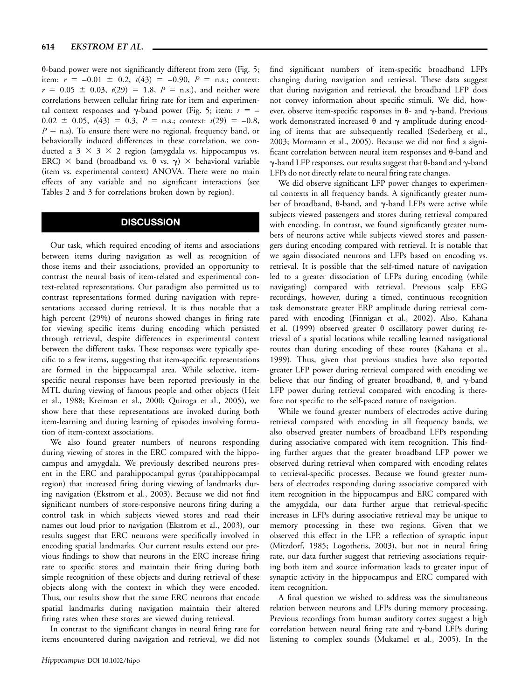$\theta$ -band power were not significantly different from zero (Fig. 5; item:  $r = -0.01 \pm 0.2$ ,  $t(43) = -0.90$ ,  $P =$  n.s.; context:  $r = 0.05 \pm 0.03$ ,  $t(29) = 1.8$ ,  $P =$  n.s.), and neither were correlations between cellular firing rate for item and experimental context responses and  $\gamma$ -band power (Fig. 5; item:  $r = 0.02 \pm 0.05$ ,  $t(43) = 0.3$ ,  $P =$  n.s.; context:  $t(29) = -0.8$ ,  $P =$  n.s). To ensure there were no regional, frequency band, or behaviorally induced differences in these correlation, we conducted a  $3 \times 3 \times 2$  region (amygdala vs. hippocampus vs. ERC)  $\times$  band (broadband vs.  $\theta$  vs.  $\gamma$ )  $\times$  behavioral variable (item vs. experimental context) ANOVA. There were no main effects of any variable and no significant interactions (see Tables 2 and 3 for correlations broken down by region).

## **DISCUSSION**

Our task, which required encoding of items and associations between items during navigation as well as recognition of those items and their associations, provided an opportunity to contrast the neural basis of item-related and experimental context-related representations. Our paradigm also permitted us to contrast representations formed during navigation with representations accessed during retrieval. It is thus notable that a high percent (29%) of neurons showed changes in firing rate for viewing specific items during encoding which persisted through retrieval, despite differences in experimental context between the different tasks. These responses were typically specific to a few items, suggesting that item-specific representations are formed in the hippocampal area. While selective, itemspecific neural responses have been reported previously in the MTL during viewing of famous people and other objects (Heit et al., 1988; Kreiman et al., 2000; Quiroga et al., 2005), we show here that these representations are invoked during both item-learning and during learning of episodes involving formation of item-context associations.

We also found greater numbers of neurons responding during viewing of stores in the ERC compared with the hippocampus and amygdala. We previously described neurons present in the ERC and parahippocampal gyrus (parahippocampal region) that increased firing during viewing of landmarks during navigation (Ekstrom et al., 2003). Because we did not find significant numbers of store-responsive neurons firing during a control task in which subjects viewed stores and read their names out loud prior to navigation (Ekstrom et al., 2003), our results suggest that ERC neurons were specifically involved in encoding spatial landmarks. Our current results extend our previous findings to show that neurons in the ERC increase firing rate to specific stores and maintain their firing during both simple recognition of these objects and during retrieval of these objects along with the context in which they were encoded. Thus, our results show that the same ERC neurons that encode spatial landmarks during navigation maintain their altered firing rates when these stores are viewed during retrieval.

In contrast to the significant changes in neural firing rate for items encountered during navigation and retrieval, we did not find significant numbers of item-specific broadband LFPs changing during navigation and retrieval. These data suggest that during navigation and retrieval, the broadband LFP does not convey information about specific stimuli. We did, however, observe item-specific responses in  $\theta$ - and  $\gamma$ -band. Previous work demonstrated increased  $\theta$  and  $\gamma$  amplitude during encoding of items that are subsequently recalled (Sederberg et al., 2003; Mormann et al., 2005). Because we did not find a significant correlation between neural item responses and  $\theta$ -band and  $\gamma$ -band LFP responses, our results suggest that  $\theta$ -band and  $\gamma$ -band LFPs do not directly relate to neural firing rate changes.

We did observe significant LFP power changes to experimental contexts in all frequency bands. A significantly greater number of broadband,  $\theta$ -band, and  $\gamma$ -band LFPs were active while subjects viewed passengers and stores during retrieval compared with encoding. In contrast, we found significantly greater numbers of neurons active while subjects viewed stores and passengers during encoding compared with retrieval. It is notable that we again dissociated neurons and LFPs based on encoding vs. retrieval. It is possible that the self-timed nature of navigation led to a greater dissociation of LFPs during encoding (while navigating) compared with retrieval. Previous scalp EEG recordings, however, during a timed, continuous recognition task demonstrate greater ERP amplitude during retrieval compared with encoding (Finnigan et al., 2002). Also, Kahana et al. (1999) observed greater  $\theta$  oscillatory power during retrieval of a spatial locations while recalling learned navigational routes than during encoding of these routes (Kahana et al., 1999). Thus, given that previous studies have also reported greater LFP power during retrieval compared with encoding we believe that our finding of greater broadband,  $\theta$ , and  $\gamma$ -band LFP power during retrieval compared with encoding is therefore not specific to the self-paced nature of navigation.

While we found greater numbers of electrodes active during retrieval compared with encoding in all frequency bands, we also observed greater numbers of broadband LFPs responding during associative compared with item recognition. This finding further argues that the greater broadband LFP power we observed during retrieval when compared with encoding relates to retrieval-specific processes. Because we found greater numbers of electrodes responding during associative compared with item recognition in the hippocampus and ERC compared with the amygdala, our data further argue that retrieval-specific increases in LFPs during associative retrieval may be unique to memory processing in these two regions. Given that we observed this effect in the LFP, a reflection of synaptic input (Mitzdorf, 1985; Logothetis, 2003), but not in neural firing rate, our data further suggest that retrieving associations requiring both item and source information leads to greater input of synaptic activity in the hippocampus and ERC compared with item recognition.

A final question we wished to address was the simultaneous relation between neurons and LFPs during memory processing. Previous recordings from human auditory cortex suggest a high correlation between neural firing rate and  $\gamma$ -band LFPs during listening to complex sounds (Mukamel et al., 2005). In the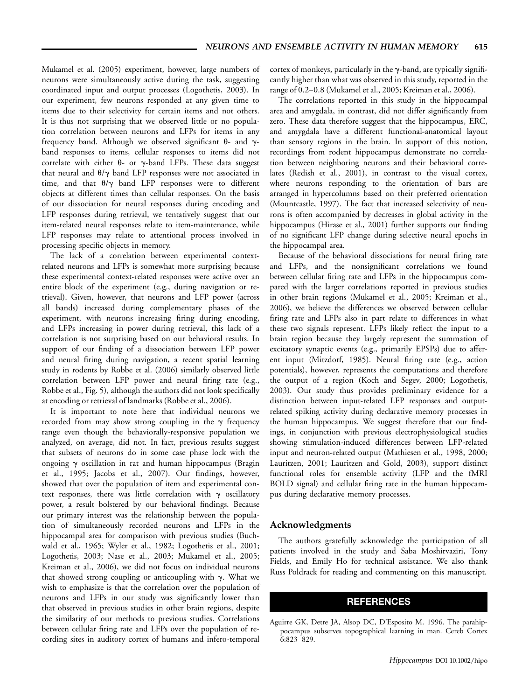Mukamel et al. (2005) experiment, however, large numbers of neurons were simultaneously active during the task, suggesting coordinated input and output processes (Logothetis, 2003). In our experiment, few neurons responded at any given time to items due to their selectivity for certain items and not others. It is thus not surprising that we observed little or no population correlation between neurons and LFPs for items in any frequency band. Although we observed significant  $\theta$ - and  $\gamma$ band responses to items, cellular responses to items did not correlate with either  $\theta$ - or  $\gamma$ -band LFPs. These data suggest that neural and  $\theta/\gamma$  band LFP responses were not associated in time, and that  $\theta/\gamma$  band LFP responses were to different objects at different times than cellular responses. On the basis of our dissociation for neural responses during encoding and LFP responses during retrieval, we tentatively suggest that our item-related neural responses relate to item-maintenance, while LFP responses may relate to attentional process involved in processing specific objects in memory.

The lack of a correlation between experimental contextrelated neurons and LFPs is somewhat more surprising because these experimental context-related responses were active over an entire block of the experiment (e.g., during navigation or retrieval). Given, however, that neurons and LFP power (across all bands) increased during complementary phases of the experiment, with neurons increasing firing during encoding, and LFPs increasing in power during retrieval, this lack of a correlation is not surprising based on our behavioral results. In support of our finding of a dissociation between LFP power and neural firing during navigation, a recent spatial learning study in rodents by Robbe et al. (2006) similarly observed little correlation between LFP power and neural firing rate (e.g., Robbe et al., Fig. 5), although the authors did not look specifically at encoding or retrieval of landmarks (Robbe et al., 2006).

It is important to note here that individual neurons we recorded from may show strong coupling in the  $\gamma$  frequency range even though the behaviorally-responsive population we analyzed, on average, did not. In fact, previous results suggest that subsets of neurons do in some case phase lock with the ongoing  $\gamma$  oscillation in rat and human hippocampus (Bragin et al., 1995; Jacobs et al., 2007). Our findings, however, showed that over the population of item and experimental context responses, there was little correlation with  $\gamma$  oscillatory power, a result bolstered by our behavioral findings. Because our primary interest was the relationship between the population of simultaneously recorded neurons and LFPs in the hippocampal area for comparison with previous studies (Buchwald et al., 1965; Wyler et al., 1982; Logothetis et al., 2001; Logothetis, 2003; Nase et al., 2003; Mukamel et al., 2005; Kreiman et al., 2006), we did not focus on individual neurons that showed strong coupling or anticoupling with  $\gamma$ . What we wish to emphasize is that the correlation over the population of neurons and LFPs in our study was significantly lower than that observed in previous studies in other brain regions, despite the similarity of our methods to previous studies. Correlations between cellular firing rate and LFPs over the population of recording sites in auditory cortex of humans and infero-temporal cortex of monkeys, particularly in the  $\gamma$ -band, are typically significantly higher than what was observed in this study, reported in the range of 0.2–0.8 (Mukamel et al., 2005; Kreiman et al., 2006).

The correlations reported in this study in the hippocampal area and amygdala, in contrast, did not differ significantly from zero. These data therefore suggest that the hippocampus, ERC, and amygdala have a different functional-anatomical layout than sensory regions in the brain. In support of this notion, recordings from rodent hippocampus demonstrate no correlation between neighboring neurons and their behavioral correlates (Redish et al., 2001), in contrast to the visual cortex, where neurons responding to the orientation of bars are arranged in hypercolumns based on their preferred orientation (Mountcastle, 1997). The fact that increased selectivity of neurons is often accompanied by decreases in global activity in the hippocampus (Hirase et al., 2001) further supports our finding of no significant LFP change during selective neural epochs in the hippocampal area.

Because of the behavioral dissociations for neural firing rate and LFPs, and the nonsignificant correlations we found between cellular firing rate and LFPs in the hippocampus compared with the larger correlations reported in previous studies in other brain regions (Mukamel et al., 2005; Kreiman et al., 2006), we believe the differences we observed between cellular firing rate and LFPs also in part relate to differences in what these two signals represent. LFPs likely reflect the input to a brain region because they largely represent the summation of excitatory synaptic events (e.g., primarily EPSPs) due to afferent input (Mitzdorf, 1985). Neural firing rate (e.g., action potentials), however, represents the computations and therefore the output of a region (Koch and Segev, 2000; Logothetis, 2003). Our study thus provides preliminary evidence for a distinction between input-related LFP responses and outputrelated spiking activity during declarative memory processes in the human hippocampus. We suggest therefore that our findings, in conjunction with previous electrophysiological studies showing stimulation-induced differences between LFP-related input and neuron-related output (Mathiesen et al., 1998, 2000; Lauritzen, 2001; Lauritzen and Gold, 2003), support distinct functional roles for ensemble activity (LFP and the fMRI BOLD signal) and cellular firing rate in the human hippocampus during declarative memory processes.

#### Acknowledgments

The authors gratefully acknowledge the participation of all patients involved in the study and Saba Moshirvaziri, Tony Fields, and Emily Ho for technical assistance. We also thank Russ Poldrack for reading and commenting on this manuscript.

## REFERENCES

Aguirre GK, Detre JA, Alsop DC, D'Esposito M. 1996. The parahippocampus subserves topographical learning in man. Cereb Cortex 6:823–829.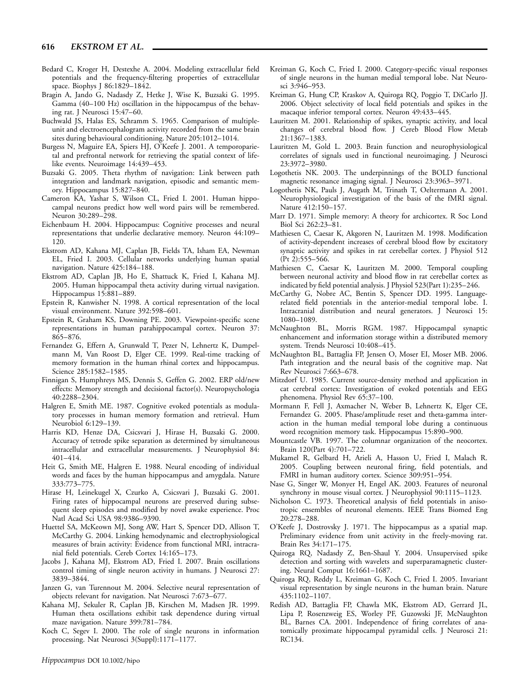- Bedard C, Kroger H, Destexhe A. 2004. Modeling extracellular field potentials and the frequency-filtering properties of extracellular space. Biophys J 86:1829-1842.
- Bragin A, Jando G, Nadasdy Z, Hetke J, Wise K, Buzsaki G. 1995. Gamma (40–100 Hz) oscillation in the hippocampus of the behaving rat. J Neurosci 15:47–60.
- Buchwald JS, Halas ES, Schramm S. 1965. Comparison of multipleunit and electroencephalogram activity recorded from the same brain sites during behavioural conditioning. Nature 205:1012–1014.
- Burgess N, Maguire EA, Spiers HJ, O'Keefe J. 2001. A temporoparietal and prefrontal network for retrieving the spatial context of lifelike events. Neuroimage 14:439–453.
- Buzsaki G. 2005. Theta rhythm of navigation: Link between path integration and landmark navigation, episodic and semantic memory. Hippocampus 15:827–840.
- Cameron KA, Yashar S, Wilson CL, Fried I. 2001. Human hippocampal neurons predict how well word pairs will be remembered. Neuron 30:289–298.
- Eichenbaum H. 2004. Hippocampus: Cognitive processes and neural representations that underlie declarative memory. Neuron 44:109– 120.
- Ekstrom AD, Kahana MJ, Caplan JB, Fields TA, Isham EA, Newman EL, Fried I. 2003. Cellular networks underlying human spatial navigation. Nature 425:184–188.
- Ekstrom AD, Caplan JB, Ho E, Shattuck K, Fried I, Kahana MJ. 2005. Human hippocampal theta activity during virtual navigation. Hippocampus 15:881–889.
- Epstein R, Kanwisher N. 1998. A cortical representation of the local visual environment. Nature 392:598–601.
- Epstein R, Graham KS, Downing PE. 2003. Viewpoint-specific scene representations in human parahippocampal cortex. Neuron 37: 865–876.
- Fernandez G, Effern A, Grunwald T, Pezer N, Lehnertz K, Dumpelmann M, Van Roost D, Elger CE. 1999. Real-time tracking of memory formation in the human rhinal cortex and hippocampus. Science 285:1582–1585.
- Finnigan S, Humphreys MS, Dennis S, Geffen G. 2002. ERP old/new effects: Memory strength and decisional factor(s). Neuropsychologia 40:2288–2304.
- Halgren E, Smith ME. 1987. Cognitive evoked potentials as modulatory processes in human memory formation and retrieval. Hum Neurobiol 6:129–139.
- Harris KD, Henze DA, Csicsvari J, Hirase H, Buzsaki G. 2000. Accuracy of tetrode spike separation as determined by simultaneous intracellular and extracellular measurements. J Neurophysiol 84: 401–414.
- Heit G, Smith ME, Halgren E. 1988. Neural encoding of individual words and faces by the human hippocampus and amygdala. Nature 333:773–775.
- Hirase H, Leinekugel X, Czurko A, Csicsvari J, Buzsaki G. 2001. Firing rates of hippocampal neurons are preserved during subsequent sleep episodes and modified by novel awake experience. Proc Natl Acad Sci USA 98:9386–9390.
- Huettel SA, McKeown MJ, Song AW, Hart S, Spencer DD, Allison T, McCarthy G. 2004. Linking hemodynamic and electrophysiological measures of brain activity: Evidence from functional MRI, intracranial field potentials. Cereb Cortex 14:165–173.
- Jacobs J, Kahana MJ, Ekstrom AD, Fried I. 2007. Brain oscillations control timing of single neuron activity in humans. J Neurosci 27: 3839–3844.
- Janzen G, van Turennout M. 2004. Selective neural representation of objects relevant for navigation. Nat Neurosci 7:673–677.
- Kahana MJ, Sekuler R, Caplan JB, Kirschen M, Madsen JR. 1999. Human theta oscillations exhibit task dependence during virtual maze navigation. Nature 399:781–784.
- Koch C, Segev I. 2000. The role of single neurons in information processing. Nat Neurosci 3(Suppl):1171–1177.
- Kreiman G, Koch C, Fried I. 2000. Category-specific visual responses of single neurons in the human medial temporal lobe. Nat Neurosci 3:946–953.
- Kreiman G, Hung CP, Kraskov A, Quiroga RQ, Poggio T, DiCarlo JJ. 2006. Object selectivity of local field potentials and spikes in the macaque inferior temporal cortex. Neuron 49:433–445.
- Lauritzen M. 2001. Relationship of spikes, synaptic activity, and local changes of cerebral blood flow. J Cereb Blood Flow Metab 21:1367–1383.
- Lauritzen M, Gold L. 2003. Brain function and neurophysiological correlates of signals used in functional neuroimaging. J Neurosci 23:3972–3980.
- Logothetis NK. 2003. The underpinnings of the BOLD functional magnetic resonance imaging signal. J Neurosci 23:3963–3971.
- Logothetis NK, Pauls J, Augath M, Trinath T, Oeltermann A. 2001. Neurophysiological investigation of the basis of the fMRI signal. Nature 412:150–157.
- Marr D. 1971. Simple memory: A theory for archicortex. R Soc Lond Biol Sci 262:23–81.
- Mathiesen C, Caesar K, Akgoren N, Lauritzen M. 1998. Modification of activity-dependent increases of cerebral blood flow by excitatory synaptic activity and spikes in rat cerebellar cortex. J Physiol 512 (Pt 2):555–566.
- Mathiesen C, Caesar K, Lauritzen M. 2000. Temporal coupling between neuronal activity and blood flow in rat cerebellar cortex as indicated by field potential analysis. J Physiol 523(Part 1):235–246.
- McCarthy G, Nobre AC, Bentin S, Spencer DD. 1995. Languagerelated field potentials in the anterior-medial temporal lobe. I. Intracranial distribution and neural generators. J Neurosci 15: 1080–1089.
- McNaughton BL, Morris RGM. 1987. Hippocampal synaptic enhancement and information storage within a distributed memory system. Trends Neurosci 10:408–415.
- McNaughton BL, Battaglia FP, Jensen O, Moser EI, Moser MB. 2006. Path integration and the neural basis of the cognitive map. Nat Rev Neurosci 7:663–678.
- Mitzdorf U. 1985. Current source-density method and application in cat cerebral cortex: Investigation of evoked potentials and EEG phenomena. Physiol Rev 65:37–100.
- Mormann F, Fell J, Axmacher N, Weber B, Lehnertz K, Elger CE, Fernandez G. 2005. Phase/amplitude reset and theta-gamma interaction in the human medial temporal lobe during a continuous word recognition memory task. Hippocampus 15:890–900.
- Mountcastle VB. 1997. The columnar organization of the neocortex. Brain 120(Part 4):701–722.
- Mukamel R, Gelbard H, Arieli A, Hasson U, Fried I, Malach R. 2005. Coupling between neuronal firing, field potentials, and FMRI in human auditory cortex. Science 309:951–954.
- Nase G, Singer W, Monyer H, Engel AK. 2003. Features of neuronal synchrony in mouse visual cortex. J Neurophysiol 90:1115–1123.
- Nicholson C. 1973. Theoretical analysis of field potentials in anisotropic ensembles of neuronal elements. IEEE Trans Biomed Eng 20:278–288.
- O'Keefe J, Dostrovsky J. 1971. The hippocampus as a spatial map. Preliminary evidence from unit activity in the freely-moving rat. Brain Res 34:171–175.
- Quiroga RQ, Nadasdy Z, Ben-Shaul Y. 2004. Unsupervised spike detection and sorting with wavelets and superparamagnetic clustering. Neural Comput 16:1661–1687.
- Quiroga RQ, Reddy L, Kreiman G, Koch C, Fried I. 2005. Invariant visual representation by single neurons in the human brain. Nature 435:1102–1107.
- Redish AD, Battaglia FP, Chawla MK, Ekstrom AD, Gerrard JL, Lipa P, Rosenzweig ES, Worley PF, Guzowski JF, McNaughton BL, Barnes CA. 2001. Independence of firing correlates of anatomically proximate hippocampal pyramidal cells. J Neurosci 21: RC134.